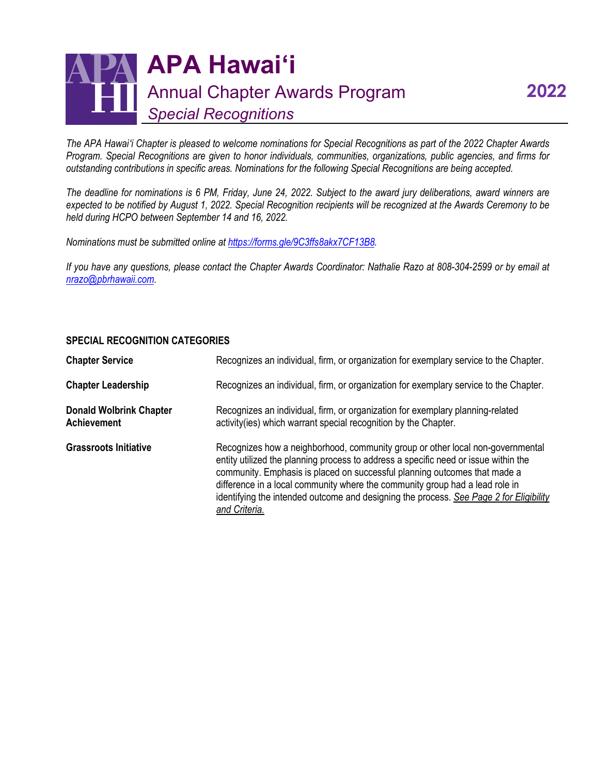## **APA Hawaiʻi** Annual Chapter Awards Program *Special Recognitions*

*The APA Hawaiʻi Chapter is pleased to welcome nominations for Special Recognitions as part of the 2022 Chapter Awards Program. Special Recognitions are given to honor individuals, communities, organizations, public agencies, and firms for outstanding contributions in specific areas. Nominations for the following Special Recognitions are being accepted.*

*The deadline for nominations is 6 PM, Friday, June 24, 2022. Subject to the award jury deliberations, award winners are expected to be notified by August 1, 2022. Special Recognition recipients will be recognized at the Awards Ceremony to be held during HCPO between September 14 and 16, 2022.*

*Nominations must be submitted online at [https://forms.gle/9C3ffs8akx7CF13B8.](https://forms.gle/9C3ffs8akx7CF13B8)*

*If you have any questions, please contact the Chapter Awards Coordinator: Nathalie Razo at 808-304-2599 or by email at [nrazo@pbrhawaii.com.](mailto:nrazo@pbrhawaii.com)*

## **SPECIAL RECOGNITION CATEGORIES**

| <b>Chapter Service</b>                               | Recognizes an individual, firm, or organization for exemplary service to the Chapter.                                                                                                                                                                                                                                                                                                                                                         |
|------------------------------------------------------|-----------------------------------------------------------------------------------------------------------------------------------------------------------------------------------------------------------------------------------------------------------------------------------------------------------------------------------------------------------------------------------------------------------------------------------------------|
| <b>Chapter Leadership</b>                            | Recognizes an individual, firm, or organization for exemplary service to the Chapter.                                                                                                                                                                                                                                                                                                                                                         |
| <b>Donald Wolbrink Chapter</b><br><b>Achievement</b> | Recognizes an individual, firm, or organization for exemplary planning-related<br>activity (ies) which warrant special recognition by the Chapter.                                                                                                                                                                                                                                                                                            |
| <b>Grassroots Initiative</b>                         | Recognizes how a neighborhood, community group or other local non-governmental<br>entity utilized the planning process to address a specific need or issue within the<br>community. Emphasis is placed on successful planning outcomes that made a<br>difference in a local community where the community group had a lead role in<br>identifying the intended outcome and designing the process. See Page 2 for Eligibility<br>and Criteria. |